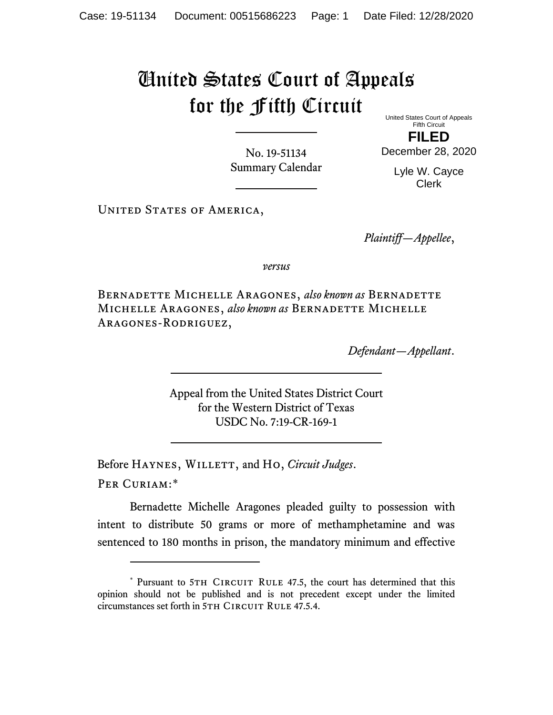## United States Court of Appeals for the Fifth Circuit

United States Court of Appeals Fifth Circuit

No. 19-51134 Summary Calendar

**FILED** December 28, 2020

> Lyle W. Cayce Clerk

UNITED STATES OF AMERICA,

*Plaintiff—Appellee*,

*versus*

Bernadette Michelle Aragones, *also known as* Bernadette Michelle Aragones, *also known as* Bernadette Michelle Aragones-Rodriguez,

*Defendant—Appellant*.

Appeal from the United States District Court for the Western District of Texas USDC No. 7:19-CR-169-1

Before Haynes, Willett, and Ho, *Circuit Judges*.

Per Curiam:[\\*](#page-0-0)

Bernadette Michelle Aragones pleaded guilty to possession with intent to distribute 50 grams or more of methamphetamine and was sentenced to 180 months in prison, the mandatory minimum and effective

<span id="page-0-0"></span><sup>\*</sup> Pursuant to 5TH CIRCUIT RULE 47.5, the court has determined that this opinion should not be published and is not precedent except under the limited circumstances set forth in 5TH CIRCUIT RULE 47.5.4.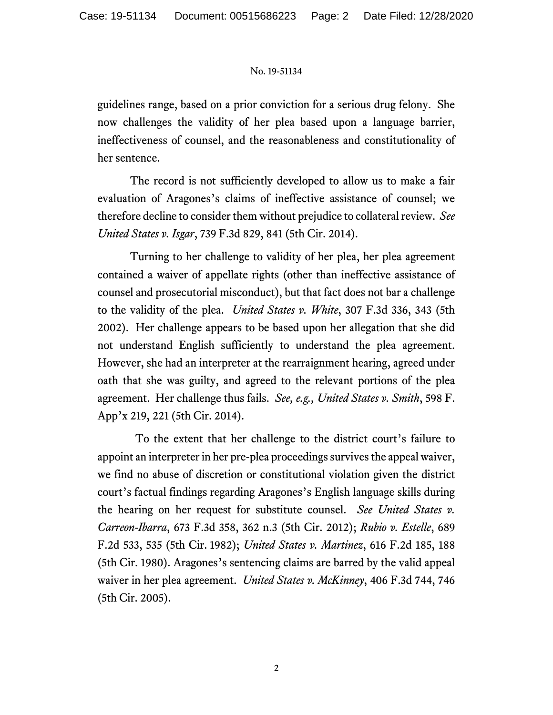## No. 19-51134

guidelines range, based on a prior conviction for a serious drug felony. She now challenges the validity of her plea based upon a language barrier, ineffectiveness of counsel, and the reasonableness and constitutionality of her sentence.

The record is not sufficiently developed to allow us to make a fair evaluation of Aragones's claims of ineffective assistance of counsel; we therefore decline to consider them without prejudice to collateral review. *See United States v. Isgar*, 739 F.3d 829, 841 (5th Cir. 2014).

Turning to her challenge to validity of her plea, her plea agreement contained a waiver of appellate rights (other than ineffective assistance of counsel and prosecutorial misconduct), but that fact does not bar a challenge to the validity of the plea. *United States v. White*, 307 F.3d 336, 343 (5th 2002). Her challenge appears to be based upon her allegation that she did not understand English sufficiently to understand the plea agreement. However, she had an interpreter at the rearraignment hearing, agreed under oath that she was guilty, and agreed to the relevant portions of the plea agreement. Her challenge thus fails. *See, e.g., United States v. Smith*, 598 F. App'x 219, 221 (5th Cir. 2014).

 To the extent that her challenge to the district court's failure to appoint an interpreter in her pre-plea proceedings survives the appeal waiver, we find no abuse of discretion or constitutional violation given the district court's factual findings regarding Aragones's English language skills during the hearing on her request for substitute counsel. *See United States v. Carreon-Ibarra*, 673 F.3d 358, 362 n.3 (5th Cir. 2012); *Rubio v. Estelle*, 689 F.2d 533, 535 (5th Cir. 1982); *United States v. Martinez*, 616 F.2d 185, 188 (5th Cir. 1980). Aragones's sentencing claims are barred by the valid appeal waiver in her plea agreement. *United States v. McKinney*, 406 F.3d 744, 746 (5th Cir. 2005).